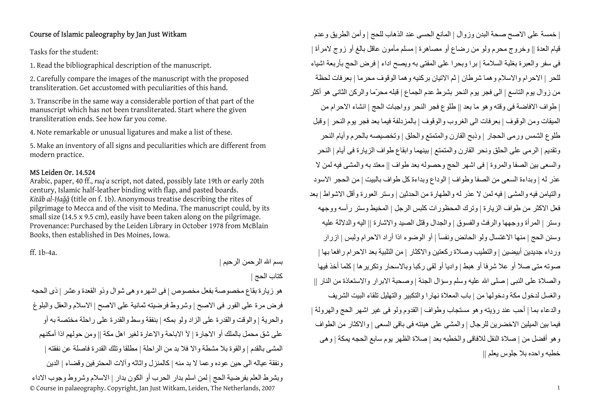## Course of Islamic paleography by Jan Just Witkam

Tasks for the student:

1. Read the bibliographical description of the manuscript.

2. Carefully compare the images of the manuscript with the proposed transliteration. Get accustomed with peculiarities of this hand.

3. Transcribe in the same way a considerable portion of that part of the manuscript which has not been transliterated. Start where the given transliteration ends. See how far you come.

4. Note remarkable or unusual ligatures and make a list of these.

5. Make an inventory of all signs and peculiarities which are different from modern practice.

## MS Leiden Or. 14.524

Arabic, paper, 40 ff., *ruq<sup>ʿ</sup>a* script, not dated, possibly late 19th or early 20th century, Islamic half-leather binding with flap, and pasted boards. *Kit āb al-Ḥ <sup>a</sup>ǧǧ* (title on f. 1b). Anonymous treatise describing the rites of pilgrimage to Mecca and of the visit to Medina. The manuscript could, by its small size (14.5 x 9.5 cm), easily have been taken along on the pilgrimage. Provenance: Purchased by the Leiden Library in October 1978 from McBlain Books, then established in Des Moines, Iowa.

ff. 1b-4a.

بسم الله الرحمن الرحيم | آتاب الحج |

© Course in palaeography. Copyright, Jan Just Witkam, Leiden, The Netherlands, 2007 <sup>1</sup> هو زيارة بقاع مخصوصة بفعل مخصوص | فى اشهره وهى شوال وذو القعدة وعشر | ذى الحجه فرض مرة على الفور فى الاصح | وشروط فرضيته ثمانية على الاصح | الاسلام والعقل والبلوغ والحرية | والوقت والقدرة على الزاد ولو بمكه | بنفقة وسط والقدرة على راحلة مختصة به أو على شق محمل بالملك أو الاجارة | لأ الاباحة والاعارة لغير اهل مكة || ومن حولهم اذا أمكنهم المشى بالقدم | والقوة بلا مشطة والا فلا بد من الراحلة | مطلقا وتلك القدرة فاصلة عن نفقته | ونفقة عياله الى حين عوده وعما لا بد منه | كالمنزل واثاثه وألات المحترفين وقضاء | الدين وبشرط العلم بفرضية الحج | لمن اسلم بدار الحرب أو الكون بدار | الاسلام وشروط وجوب الاداء

| خمسة على الاصح صحة البدن وزوال | المانع الحسى عند الذهاب للحج | وأمن الطريق وعدم قيام العدة || وخروج محرم ولو من رضاع أو مصاهرة | مسلم مأمون عاقل بالغ أو زوج لامرأة | فى سفر والعبرة بغلبة السلامة | برا وبحرا على المفتى به ويصح اداء | فرض الحج بأربعة اشياء للحر | الاحرام والاسلام وهما شرطان | ثم الاتيان برآنيه وهما الوقوف محرما | بعرفات لحظة من زوال يوم التاسع | الى فجر يوم النحر بشرط عدم الجماع | قبله محرّما والركن الثاني هو أكثر | طواف الافاضة فى وقته وهو ما بعد || طلوع فجر النحر وواجبات الحج | انشاء الاحرام من الميقات ومن الوقوف | بعرفات الى الغروب والوقوف | بالمزدلفة فيما بعد فجر يوم النحر | وقبل طلوع الشمس ورمى الحجار | وذبح القارن والمتمتع والحلق | وتخصيصه بالحرم وأيام النحر وتقديم | الرمى على الحلق ونحر القارن والمتمتع | بينهما وابقاع طواف الزيارة فى أيام | النحر والسعى بين الصفا والمروة | فى اشهر الحج وحصوله بعد طواف || معتد به والمشى فيه لمن لا عذر له | وبداءة السعى من الصفا وطواف | الوداع وبداءة آل طواف بالبيت | من الحجر الاسود والتيامن فيه والمشى | فيه لمن لا عذر له والطهارة من الحدثين | وستر العورة وأقل الاشواط | بعد فعل الاكثر من طواف الزيارة | وترك المحظورات كلبس الرجل | المخيط وستر رأسه ووجهه وستر | المرأة ووجهها والرفث والفسوق | والجدال وقتل الصيد والاشارة || اليه والدلالة عليه وسنن الحج | منها الاغتسال ولو الحائض ونفسأ | أو الوضوء اذا أراد الاحرام ولبس | ازرار ورداء جديدين أبيضين | والتطيب وصلاة ركعتين والاكثار | من التلبية بعد الاحرام رافعا بها | صوته متى صلا أو علا شرفا أو هبط|واديا أو لقى ركبا وبالاسحار وتكريرها | كلما أخذ فيها والصلاة على النبي | صلى الله عليه وسلم وسؤال الجنة | وصحبة الابرار والاستعاذة من النار || والغسل لدخول مكة ودخولها من | باب المعلاة نهارا والتكبير والتهليل تلقاء البيت الشريف والدعاء بما | أحب عند رؤيته وهو مستجاب وطواف | القدوم ولو فى غير اشهر الحج والهرولة | فيما بين الميلين الاخضرين للرجال | والمشى على هينته فى باقى السعى | والاآثار من الطواف وهو أفضل من | صلاة النفل للافاقى والخطبه بعد | صلاة الظهر يوم سابع الحجه يمكة | وهى خطبه واحده بلا جلوس يعلم ||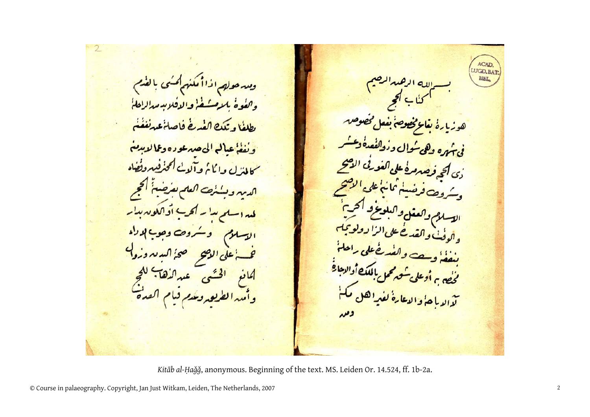ACAD **LUGD.BAT** وسرحولهم اذاأ مكنهم كمسى بالفرم والفوة بلامشف والافلاب مدالاهل ه ب<del>ناع مخصوص</del> بنعل مخصوص <u>بطلعًا وتكك الغدغ فاصلخ عدنغفُنُ</u> في تهره وهي سُوال ودُوالفُصِيةُ ويَسُسُم ونفغ عبال الى صدعوده وعالابدم سما لمتزل واكان وآلائے لمحنفہ دفضاہ .<br>دی **ا<sub>گر</sub> زمیرمرہ علی اکفورٹی الاسح** الديه وبننه العلم يفرضه أكجج شروص فرضيئم ثمانئ على الاص وسروك من بين العرض الحرم<mark>.</mark><br>الاسلام والعقل والبلوغ و الحرم<mark>.</mark><br>المسئل المصرفي المسار الذا و ولوكة لمداسلم بدار اكرب أواكلوندبدار و اگوفٹ و اک<mark>ف نے علی <sup>الزا</sup> لہ ولو</mark> الاسلام وسروت وجوب إدداء والوقت و سعت والف خُطى راحلهُ <u>غر اعلى الوصح صحا البديد وزول</u> بنعف وسطحت والعد الله الله العلماني<br>مخصى و أو على محرم محمل الله عام الله عليه العلم الم لحافع الخشى عبرالأه<del>ا كالحج</del><br>وأميرا لطريق وعدم قيام القد<mark>ة</mark> لحصين المنتج والدعارةُ لفيهِ الكل م

*Kitāb al-Ḥaǧǧ*, anonymous. Beginning of the text. MS. Leiden Or. 14.524, ff. 1b-2a.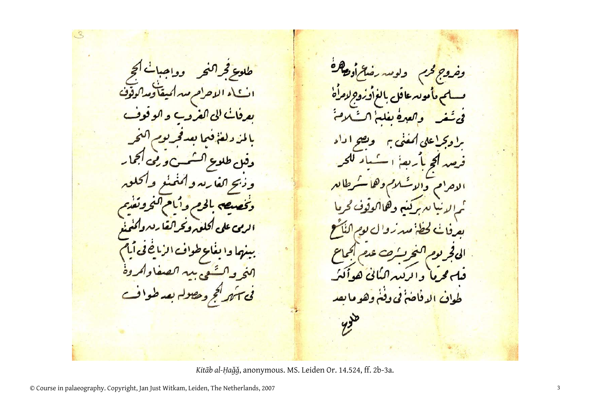فكمخر ولومدره وحدوج كحرم  $\mathbf{F}$ انجمار شهری و رقمی ر دھ' كلوم  $A \sim A$  $\sim$ في سهم لحج ومصول بعد طوافت <u>طواف الدفاحۃ فی وفٹے وہو ما</u> ىعد  $y =$ 

*Kitāb al-Ḥaǧǧ*, anonymous. MS. Leiden Or. 14.524, ff. 2b-3a.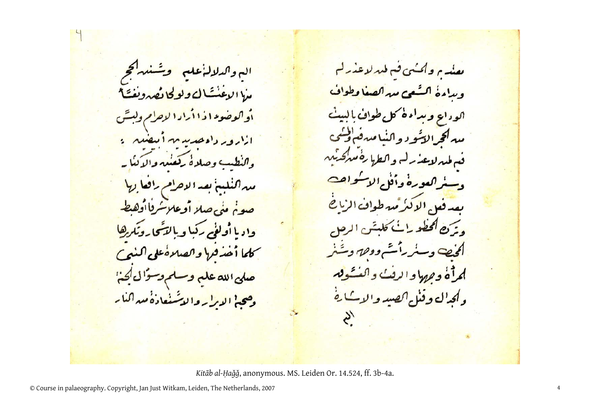الہ وا*کدلا*لہٰ علم ۔ وشنیہ کمچ ارع فالع ولو كادعه ودب او اکو ضوء ا د ۱۱ را د ۱ لاحرام وله ازارور دادهدید م-این شد : والنطيب وصلاه يقعيبه والدكنايه میہ اکٹلینج بعد الاحرام رافعا <sub>ہ</sub>ے | صوخ مئى صلا أوعلا كروا أوهبط واديا أولؤم ركبا وبالتشجارونكم كلما أحذقها والصلاة على <mark>صلى الله على وسلم و</mark>سوال <mark>أي:</mark> وصحبي الديرار والاشنعادة مبراكناير

<u>ىعنىه م واكنىي فىم لىدلاغىدلىم</u> ويداءة السفعى ميراكصغا وطواف ا<sub>کود ای</sub> ویدا<mark>ءہ کل طواف</mark>. مبركج التنود والنياميرف ولني ف طير لاعد رك و الطرا ره ميركنيد وسنراكعورة وأفلى الاشواجب يعدفهم الاكزميرطواف الرائح في من الحطورات عليقن سنر رائشے ووق وشنر لمراه وههاوالرقب والفكوق وكحدال وقئل الصيد والإكبارة  $\mathcal{S}'$ 

*Kitāb al-Ḥaǧǧ*, anonymous. MS. Leiden Or. 14.524, ff. 3b-4a.

© Course in palaeography. Copyright, Jan Just Witkam, Leiden, The Netherlands, 2007 <sup>4</sup>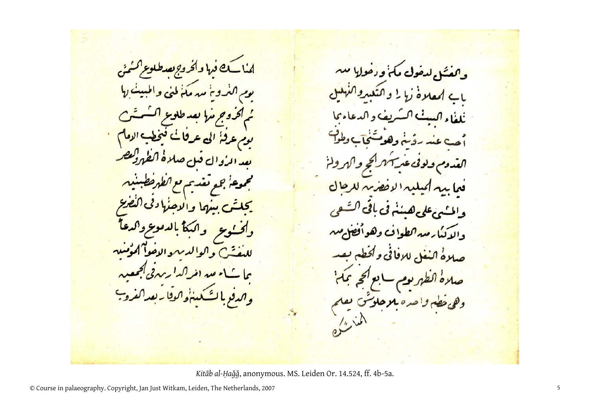کے فہا وا*فروہ بعد*  $\mathbf{1}'$  $\mathbf{1}$  $\overline{\phantom{a}}$ قبل صلاهٔ ا*لفهولی هر*  $C^{\leq i}$  $\int \omega \, dx$ د مدر (فر والدفويالشكين والوقايه بعدا

وهفتكم ليفول مكن ودفو فيما والمسم عل<mark>ى هيئ</mark>نى في باق والإنبارمير كطواف وهو صلاةُ النغل للإفاقي وأقطع الظهر يوم ro احده موحلو وهي

*Kitāb al-Ḥaǧǧ*, anonymous. MS. Leiden Or. 14.524, ff. 4b-5a.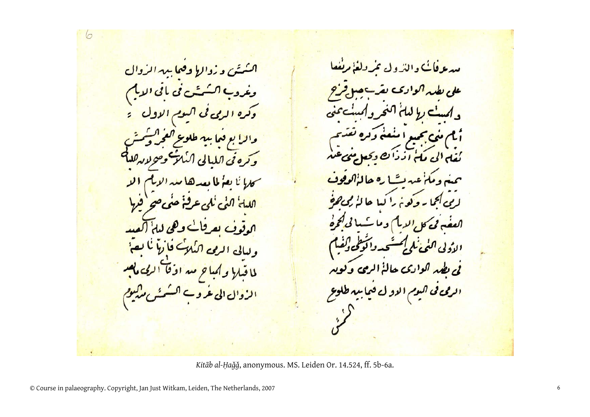ا*کسٹن و زوال<mark>ا دفعا</mark> پید الرو*ال وغرو<mark>ب اکسُمسَّت فی باقی <sup>ا</sup>لدی</mark>کم <mark>وكره الرمى فى اكيوم الاول . •</mark> <mark>والرا بع قما بيه طلوع <sup>0</sup></mark> وتره في الله و ليالي الربي اكبا لماقبلا ولمباح مسروقا الزوال الى عرو<sup>.</sup>

مبرع فائت والترول عردلغ مرتفعا على بطير اكوادك و اسٹ را لیا کہ دی اسٹ عنی في تجيع المنعة وكره لغل الى ملخ ازدان و حيوه مل عبدت وعالا بجمايه وكوخ برأييا جالز! ا*لعفہ پی کا ب*الدیا کے دمانے الأدلى <u>ئی بطمہ اکوادی حالۂ الرمی</u> <mark>الرمى فى اليوم الاو ل قيما بيه طلوع</mark>  $\langle$ 

*Kitāb al-Ḥaǧǧ*, anonymous. MS. Leiden Or. 14.524, ff. 5b-6a.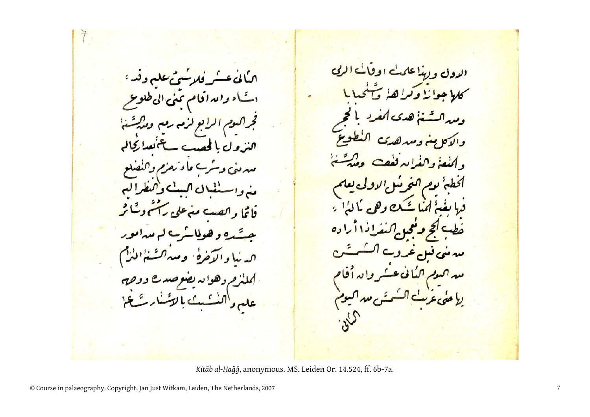ال<mark>دول وللأعلميت اوقائي الربي</mark> امیابی عس<mark>یر فلاستی علی وقد <sup>ء</sup></u></mark> كلاجوا زا وكراها مخ یام والدافا<mark>م بنی الی طلوعے</mark>  $CS_0$ فجراكسوم الرابع لزم رمع ومذكرتها الذول بالحصب سأنمسا كالم Cad Nil. مدمني وسرے ماء زمزم والنصلو بو<u>م اکتحر ب</u>یل! منه واستنف ل اكست والتطراكي يغيزاننا شكيعي فاتما وانصب منهءلى رآشم وسًا ثر ومحد اكتفراذا أ ا ده <u>حسَّدہ و ھولمائے لہ مدامور</u> <u>سہ مئی قبل عرو</u>ے ا<sub>کس</sub>نیا والاخره ومیه انت<sup>ن</sup>انن<sup>د</sup>) <u> سوم اکمانی عسکر والہ</u> لملئزم دهوائد يضوصدع ووحص <mark>عربٹ اکسمیٹی میں اکیوم</mark> على دانت بن الائسار تَهجَّ  $s^2$ 

*Kitāb al-Ḥaǧǧ*, anonymous. MS. Leiden Or. 14.524, ff. 6b-7a.